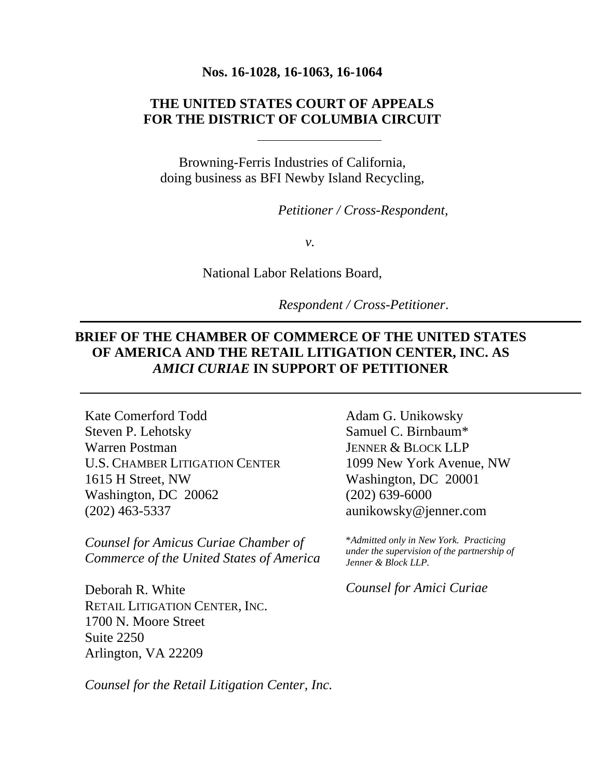#### **Nos. 16-1028, 16-1063, 16-1064**

### **THE UNITED STATES COURT OF APPEALS FOR THE DISTRICT OF COLUMBIA CIRCUIT**

Browning-Ferris Industries of California, doing business as BFI Newby Island Recycling,

*Petitioner / Cross-Respondent,* 

*v.* 

National Labor Relations Board,

 *Respondent / Cross-Petitioner*.

### **BRIEF OF THE CHAMBER OF COMMERCE OF THE UNITED STATES OF AMERICA AND THE RETAIL LITIGATION CENTER, INC. AS**  *AMICI CURIAE* **IN SUPPORT OF PETITIONER**

Kate Comerford Todd Steven P. Lehotsky Warren Postman U.S. CHAMBER LITIGATION CENTER 1615 H Street, NW Washington, DC 20062 (202) 463-5337

*Counsel for Amicus Curiae Chamber of Commerce of the United States of America* 

Deborah R. White RETAIL LITIGATION CENTER, INC. 1700 N. Moore Street Suite 2250 Arlington, VA 22209

Adam G. Unikowsky Samuel C. Birnbaum\* JENNER & BLOCK LLP 1099 New York Avenue, NW Washington, DC 20001 (202) 639-6000 aunikowsky@jenner.com

\**Admitted only in New York. Practicing under the supervision of the partnership of Jenner & Block LLP.* 

*Counsel for Amici Curiae*

*Counsel for the Retail Litigation Center, Inc.*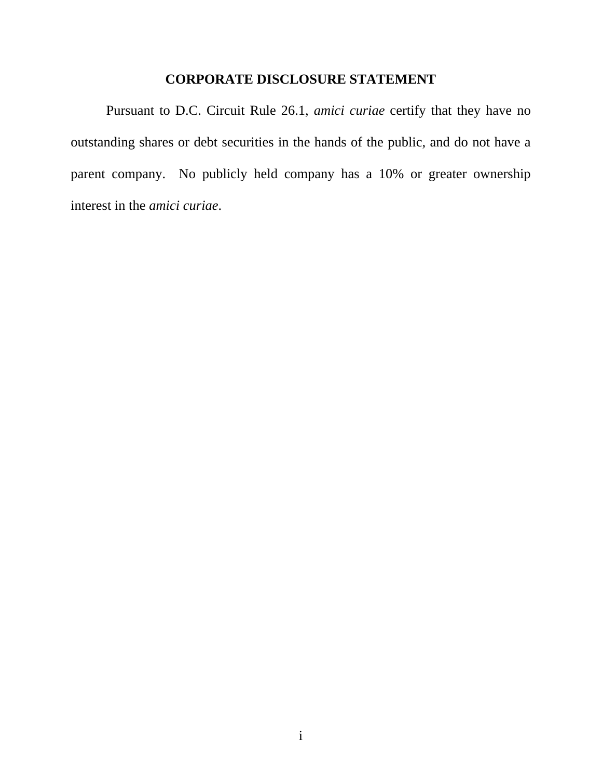### **CORPORATE DISCLOSURE STATEMENT**

 Pursuant to D.C. Circuit Rule 26.1, *amici curiae* certify that they have no outstanding shares or debt securities in the hands of the public, and do not have a parent company. No publicly held company has a 10% or greater ownership interest in the *amici curiae*.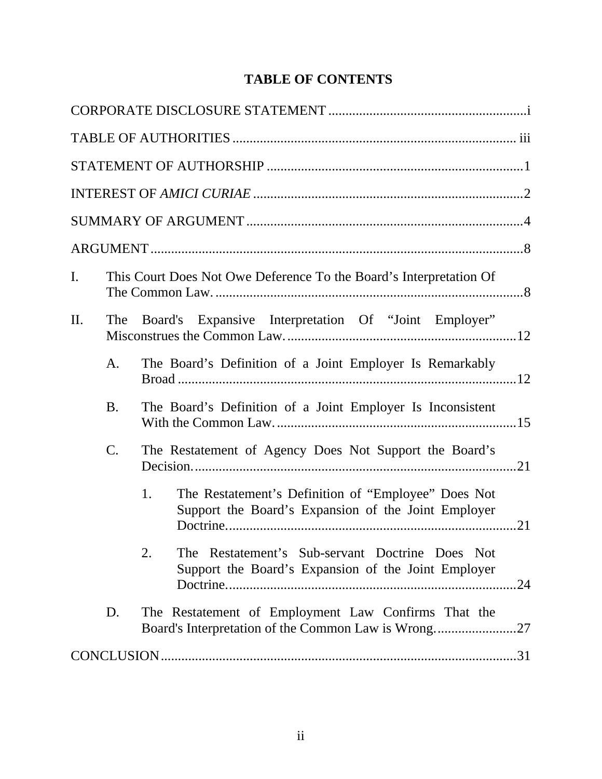# **TABLE OF CONTENTS**

| I.  |           | This Court Does Not Owe Deference To the Board's Interpretation Of                                                  |
|-----|-----------|---------------------------------------------------------------------------------------------------------------------|
| II. | The       | Board's Expansive Interpretation Of "Joint Employer"                                                                |
|     | A.        | The Board's Definition of a Joint Employer Is Remarkably                                                            |
|     | <b>B.</b> | The Board's Definition of a Joint Employer Is Inconsistent                                                          |
|     | C.        | The Restatement of Agency Does Not Support the Board's                                                              |
|     |           | The Restatement's Definition of "Employee" Does Not<br>1.<br>Support the Board's Expansion of the Joint Employer    |
|     |           | The Restatement's Sub-servant Doctrine Does Not<br>2.<br>Support the Board's Expansion of the Joint Employer<br>.24 |
|     | D.        | The Restatement of Employment Law Confirms That the<br>Board's Interpretation of the Common Law is Wrong<br>.27     |
|     |           |                                                                                                                     |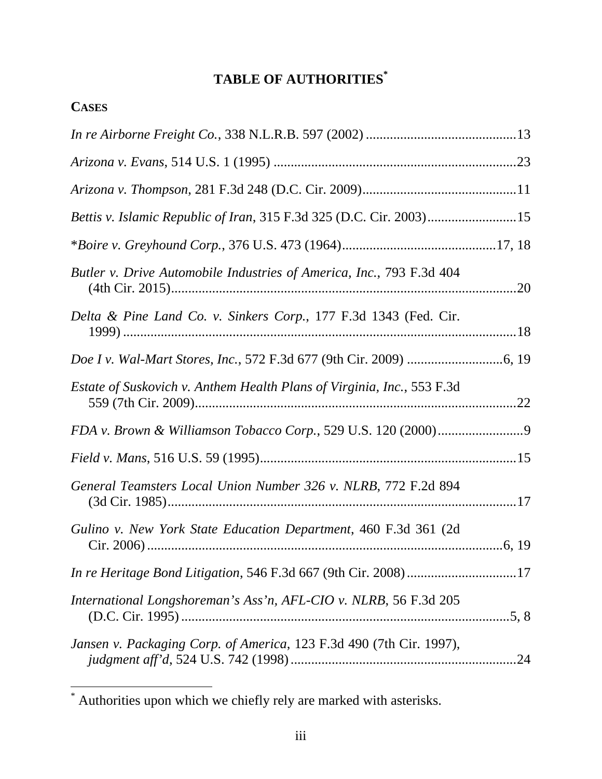# **TABLE OF AUTHORITIES\***

| <b>CASES</b>                                                                  |  |
|-------------------------------------------------------------------------------|--|
|                                                                               |  |
|                                                                               |  |
|                                                                               |  |
| Bettis v. Islamic Republic of Iran, 315 F.3d 325 (D.C. Cir. 2003)15           |  |
|                                                                               |  |
| Butler v. Drive Automobile Industries of America, Inc., 793 F.3d 404          |  |
| Delta & Pine Land Co. v. Sinkers Corp., 177 F.3d 1343 (Fed. Cir.              |  |
|                                                                               |  |
| <i>Estate of Suskovich v. Anthem Health Plans of Virginia, Inc., 553 F.3d</i> |  |
|                                                                               |  |
|                                                                               |  |
| General Teamsters Local Union Number 326 v. NLRB, 772 F.2d 894                |  |
| Gulino v. New York State Education Department, 460 F.3d 361 (2d)              |  |
|                                                                               |  |
| International Longshoreman's Ass'n, AFL-CIO v. NLRB, 56 F.3d 205              |  |
| Jansen v. Packaging Corp. of America, 123 F.3d 490 (7th Cir. 1997),           |  |

 $\overline{a}$ 

<sup>\*</sup> Authorities upon which we chiefly rely are marked with asterisks.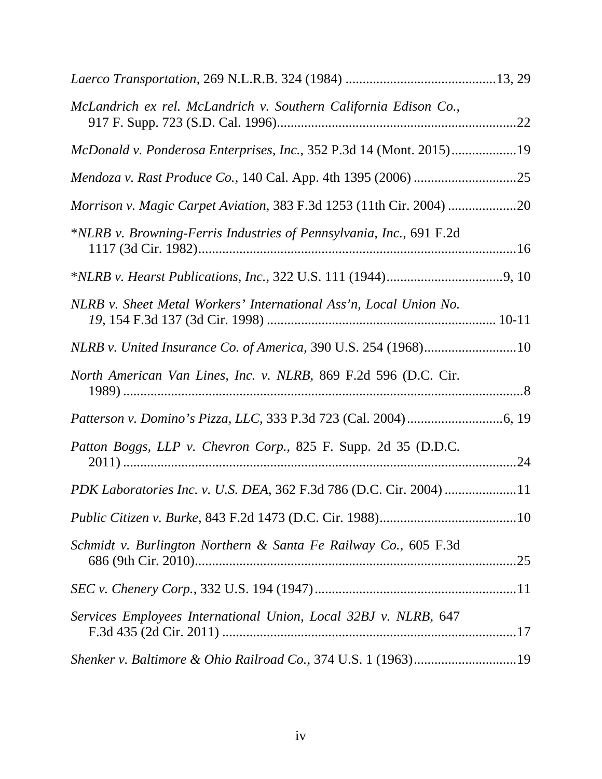| McLandrich ex rel. McLandrich v. Southern California Edison Co.,    |  |
|---------------------------------------------------------------------|--|
| McDonald v. Ponderosa Enterprises, Inc., 352 P.3d 14 (Mont. 2015)19 |  |
|                                                                     |  |
|                                                                     |  |
| *NLRB v. Browning-Ferris Industries of Pennsylvania, Inc., 691 F.2d |  |
|                                                                     |  |
| NLRB v. Sheet Metal Workers' International Ass'n, Local Union No.   |  |
| NLRB v. United Insurance Co. of America, 390 U.S. 254 (1968)10      |  |
| North American Van Lines, Inc. v. NLRB, 869 F.2d 596 (D.C. Cir.     |  |
|                                                                     |  |
| Patton Boggs, LLP v. Chevron Corp., 825 F. Supp. 2d 35 (D.D.C.      |  |
| PDK Laboratories Inc. v. U.S. DEA, 362 F.3d 786 (D.C. Cir. 2004) 11 |  |
|                                                                     |  |
| Schmidt v. Burlington Northern & Santa Fe Railway Co., 605 F.3d     |  |
|                                                                     |  |
| Services Employees International Union, Local 32BJ v. NLRB, 647     |  |
| Shenker v. Baltimore & Ohio Railroad Co., 374 U.S. 1 (1963)19       |  |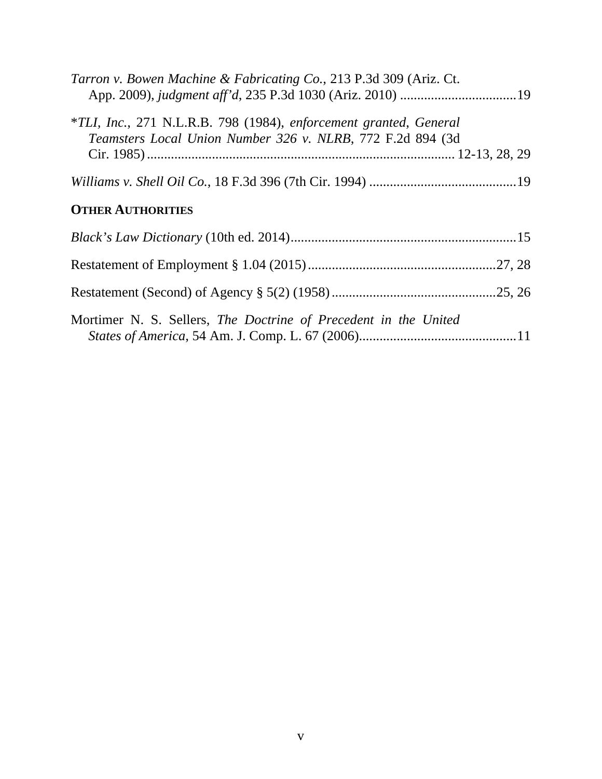| Tarron v. Bowen Machine & Fabricating Co., 213 P.3d 309 (Ariz. Ct.                                                              |  |
|---------------------------------------------------------------------------------------------------------------------------------|--|
| *TLI, Inc., 271 N.L.R.B. 798 (1984), enforcement granted, General<br>Teamsters Local Union Number 326 v. NLRB, 772 F.2d 894 (3d |  |
|                                                                                                                                 |  |
|                                                                                                                                 |  |
| <b>OTHER AUTHORITIES</b>                                                                                                        |  |
|                                                                                                                                 |  |
|                                                                                                                                 |  |
|                                                                                                                                 |  |
| Mortimer N. S. Sellers, The Doctrine of Precedent in the United                                                                 |  |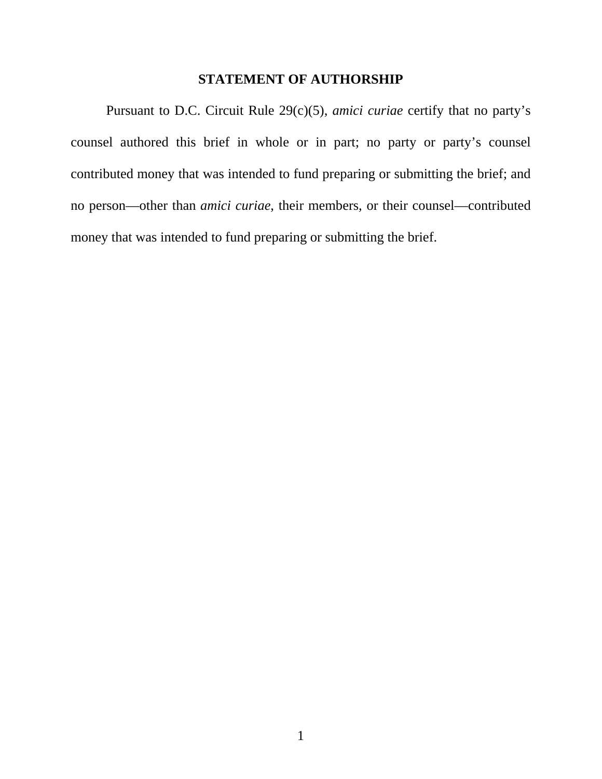#### **STATEMENT OF AUTHORSHIP**

Pursuant to D.C. Circuit Rule 29(c)(5), *amici curiae* certify that no party's counsel authored this brief in whole or in part; no party or party's counsel contributed money that was intended to fund preparing or submitting the brief; and no person—other than *amici curiae*, their members, or their counsel—contributed money that was intended to fund preparing or submitting the brief.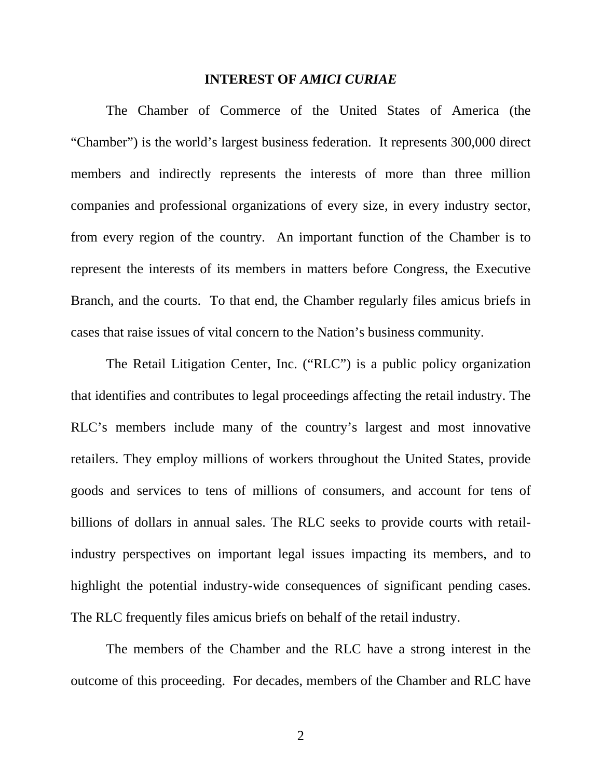#### **INTEREST OF** *AMICI CURIAE*

 The Chamber of Commerce of the United States of America (the "Chamber") is the world's largest business federation. It represents 300,000 direct members and indirectly represents the interests of more than three million companies and professional organizations of every size, in every industry sector, from every region of the country. An important function of the Chamber is to represent the interests of its members in matters before Congress, the Executive Branch, and the courts. To that end, the Chamber regularly files amicus briefs in cases that raise issues of vital concern to the Nation's business community.

 The Retail Litigation Center, Inc. ("RLC") is a public policy organization that identifies and contributes to legal proceedings affecting the retail industry. The RLC's members include many of the country's largest and most innovative retailers. They employ millions of workers throughout the United States, provide goods and services to tens of millions of consumers, and account for tens of billions of dollars in annual sales. The RLC seeks to provide courts with retailindustry perspectives on important legal issues impacting its members, and to highlight the potential industry-wide consequences of significant pending cases. The RLC frequently files amicus briefs on behalf of the retail industry.

 The members of the Chamber and the RLC have a strong interest in the outcome of this proceeding. For decades, members of the Chamber and RLC have

2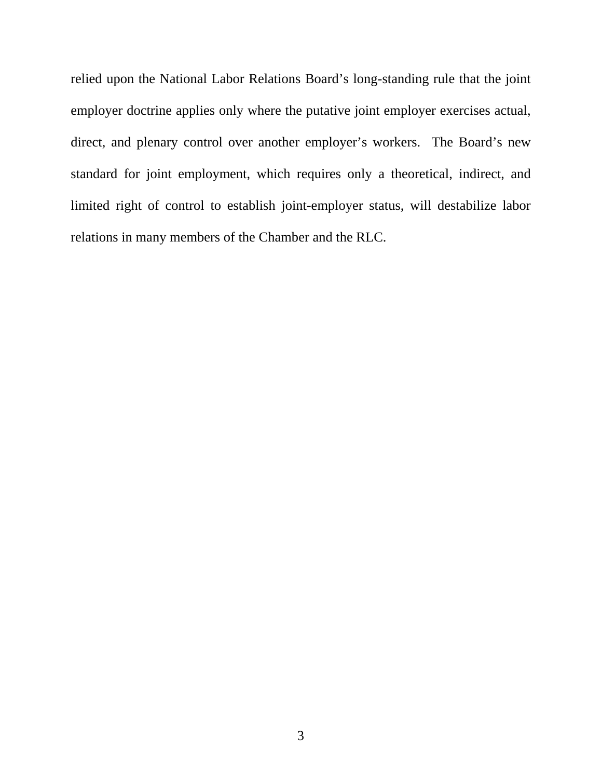relied upon the National Labor Relations Board's long-standing rule that the joint employer doctrine applies only where the putative joint employer exercises actual, direct, and plenary control over another employer's workers. The Board's new standard for joint employment, which requires only a theoretical, indirect, and limited right of control to establish joint-employer status, will destabilize labor relations in many members of the Chamber and the RLC.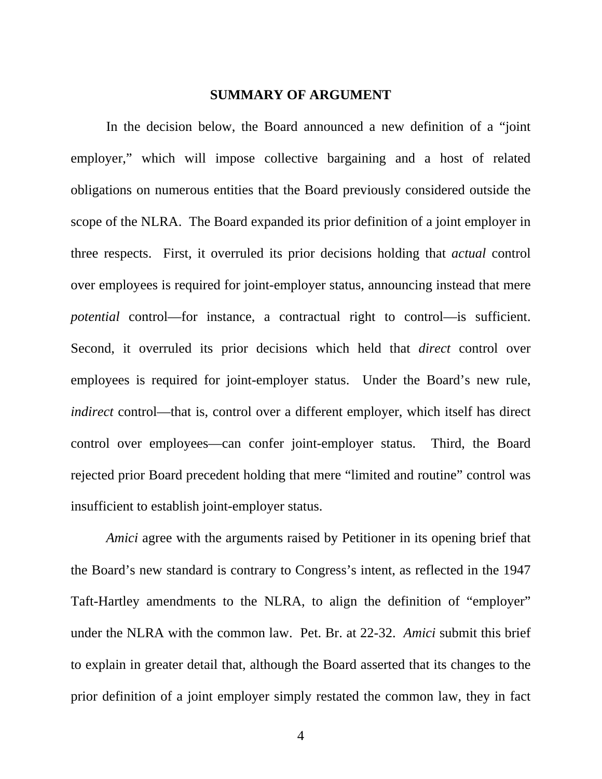#### **SUMMARY OF ARGUMENT**

In the decision below, the Board announced a new definition of a "joint employer," which will impose collective bargaining and a host of related obligations on numerous entities that the Board previously considered outside the scope of the NLRA. The Board expanded its prior definition of a joint employer in three respects. First, it overruled its prior decisions holding that *actual* control over employees is required for joint-employer status, announcing instead that mere *potential* control—for instance, a contractual right to control—is sufficient. Second, it overruled its prior decisions which held that *direct* control over employees is required for joint-employer status. Under the Board's new rule, *indirect* control—that is, control over a different employer, which itself has direct control over employees—can confer joint-employer status. Third, the Board rejected prior Board precedent holding that mere "limited and routine" control was insufficient to establish joint-employer status.

*Amici* agree with the arguments raised by Petitioner in its opening brief that the Board's new standard is contrary to Congress's intent, as reflected in the 1947 Taft-Hartley amendments to the NLRA, to align the definition of "employer" under the NLRA with the common law. Pet. Br. at 22-32. *Amici* submit this brief to explain in greater detail that, although the Board asserted that its changes to the prior definition of a joint employer simply restated the common law, they in fact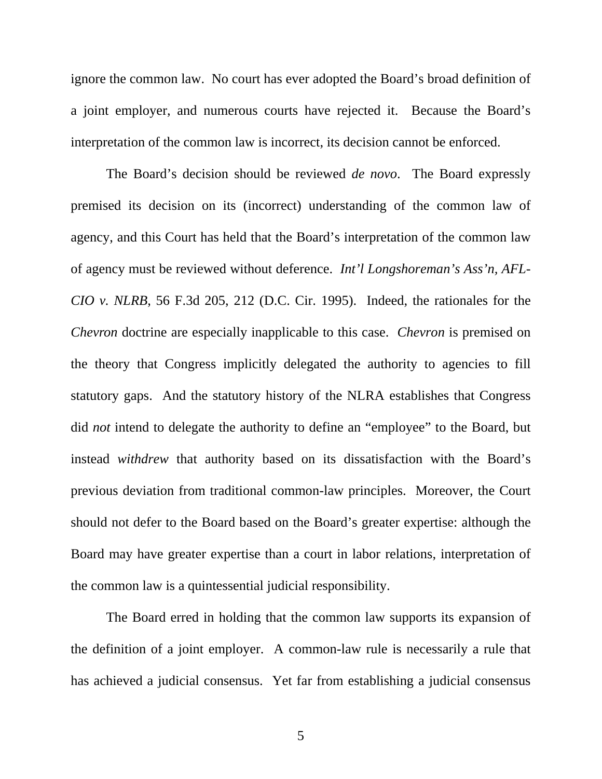ignore the common law. No court has ever adopted the Board's broad definition of a joint employer, and numerous courts have rejected it. Because the Board's interpretation of the common law is incorrect, its decision cannot be enforced.

 The Board's decision should be reviewed *de novo*. The Board expressly premised its decision on its (incorrect) understanding of the common law of agency, and this Court has held that the Board's interpretation of the common law of agency must be reviewed without deference. *Int'l Longshoreman's Ass'n, AFL-CIO v. NLRB*, 56 F.3d 205, 212 (D.C. Cir. 1995). Indeed, the rationales for the *Chevron* doctrine are especially inapplicable to this case. *Chevron* is premised on the theory that Congress implicitly delegated the authority to agencies to fill statutory gaps. And the statutory history of the NLRA establishes that Congress did *not* intend to delegate the authority to define an "employee" to the Board, but instead *withdrew* that authority based on its dissatisfaction with the Board's previous deviation from traditional common-law principles. Moreover, the Court should not defer to the Board based on the Board's greater expertise: although the Board may have greater expertise than a court in labor relations, interpretation of the common law is a quintessential judicial responsibility.

 The Board erred in holding that the common law supports its expansion of the definition of a joint employer. A common-law rule is necessarily a rule that has achieved a judicial consensus. Yet far from establishing a judicial consensus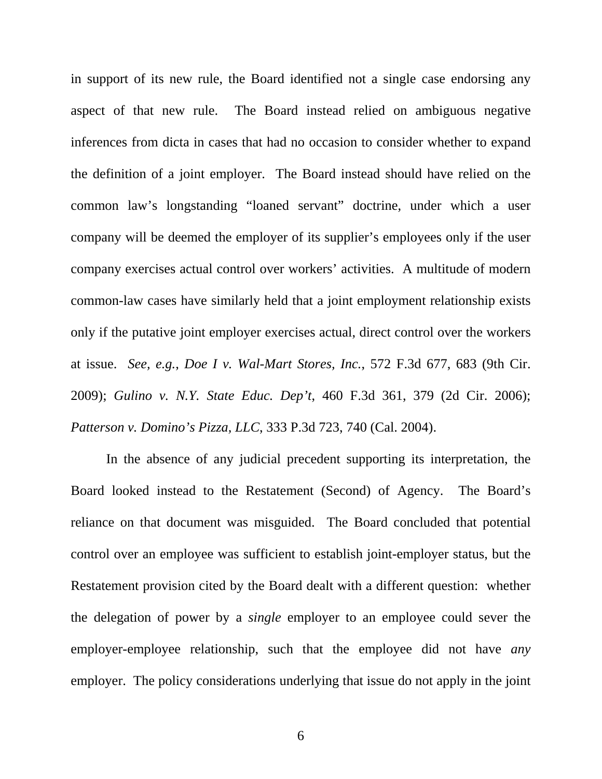in support of its new rule, the Board identified not a single case endorsing any aspect of that new rule. The Board instead relied on ambiguous negative inferences from dicta in cases that had no occasion to consider whether to expand the definition of a joint employer. The Board instead should have relied on the common law's longstanding "loaned servant" doctrine, under which a user company will be deemed the employer of its supplier's employees only if the user company exercises actual control over workers' activities. A multitude of modern common-law cases have similarly held that a joint employment relationship exists only if the putative joint employer exercises actual, direct control over the workers at issue. *See, e.g.*, *Doe I v. Wal-Mart Stores, Inc.*, 572 F.3d 677, 683 (9th Cir. 2009); *Gulino v. N.Y. State Educ. Dep't*, 460 F.3d 361, 379 (2d Cir. 2006); *Patterson v. Domino's Pizza, LLC*, 333 P.3d 723, 740 (Cal. 2004).

 In the absence of any judicial precedent supporting its interpretation, the Board looked instead to the Restatement (Second) of Agency. The Board's reliance on that document was misguided. The Board concluded that potential control over an employee was sufficient to establish joint-employer status, but the Restatement provision cited by the Board dealt with a different question: whether the delegation of power by a *single* employer to an employee could sever the employer-employee relationship, such that the employee did not have *any* employer. The policy considerations underlying that issue do not apply in the joint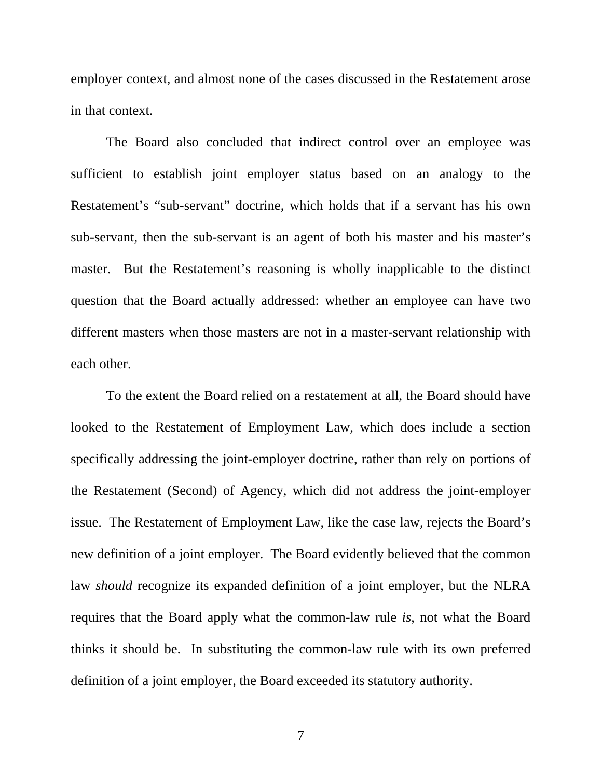employer context, and almost none of the cases discussed in the Restatement arose in that context.

 The Board also concluded that indirect control over an employee was sufficient to establish joint employer status based on an analogy to the Restatement's "sub-servant" doctrine, which holds that if a servant has his own sub-servant, then the sub-servant is an agent of both his master and his master's master. But the Restatement's reasoning is wholly inapplicable to the distinct question that the Board actually addressed: whether an employee can have two different masters when those masters are not in a master-servant relationship with each other.

 To the extent the Board relied on a restatement at all, the Board should have looked to the Restatement of Employment Law, which does include a section specifically addressing the joint-employer doctrine, rather than rely on portions of the Restatement (Second) of Agency, which did not address the joint-employer issue. The Restatement of Employment Law, like the case law, rejects the Board's new definition of a joint employer. The Board evidently believed that the common law *should* recognize its expanded definition of a joint employer, but the NLRA requires that the Board apply what the common-law rule *is*, not what the Board thinks it should be. In substituting the common-law rule with its own preferred definition of a joint employer, the Board exceeded its statutory authority.

7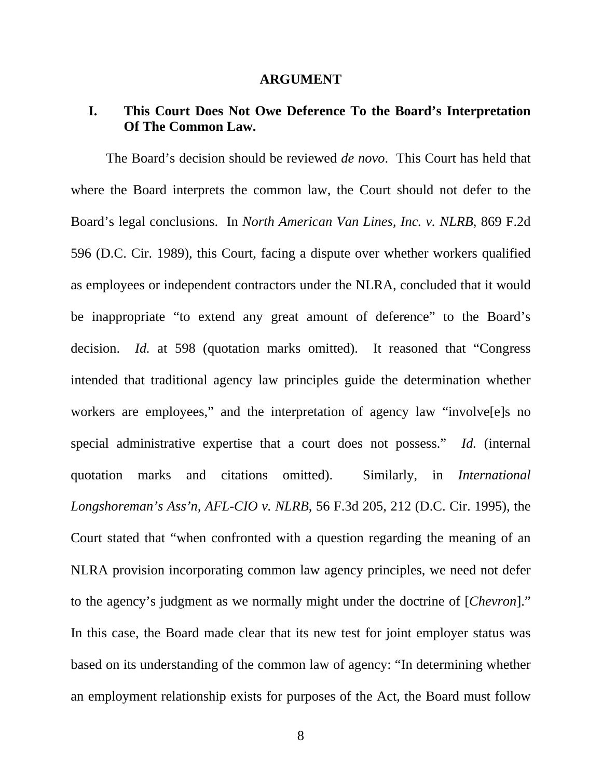#### **ARGUMENT**

### **I. This Court Does Not Owe Deference To the Board's Interpretation Of The Common Law.**

The Board's decision should be reviewed *de novo*. This Court has held that where the Board interprets the common law, the Court should not defer to the Board's legal conclusions. In *North American Van Lines, Inc. v. NLRB*, 869 F.2d 596 (D.C. Cir. 1989), this Court, facing a dispute over whether workers qualified as employees or independent contractors under the NLRA, concluded that it would be inappropriate "to extend any great amount of deference" to the Board's decision. *Id.* at 598 (quotation marks omitted). It reasoned that "Congress intended that traditional agency law principles guide the determination whether workers are employees," and the interpretation of agency law "involves special administrative expertise that a court does not possess." *Id.* (internal quotation marks and citations omitted). Similarly, in *International Longshoreman's Ass'n, AFL-CIO v. NLRB*, 56 F.3d 205, 212 (D.C. Cir. 1995), the Court stated that "when confronted with a question regarding the meaning of an NLRA provision incorporating common law agency principles, we need not defer to the agency's judgment as we normally might under the doctrine of [*Chevron*]." In this case, the Board made clear that its new test for joint employer status was based on its understanding of the common law of agency: "In determining whether an employment relationship exists for purposes of the Act, the Board must follow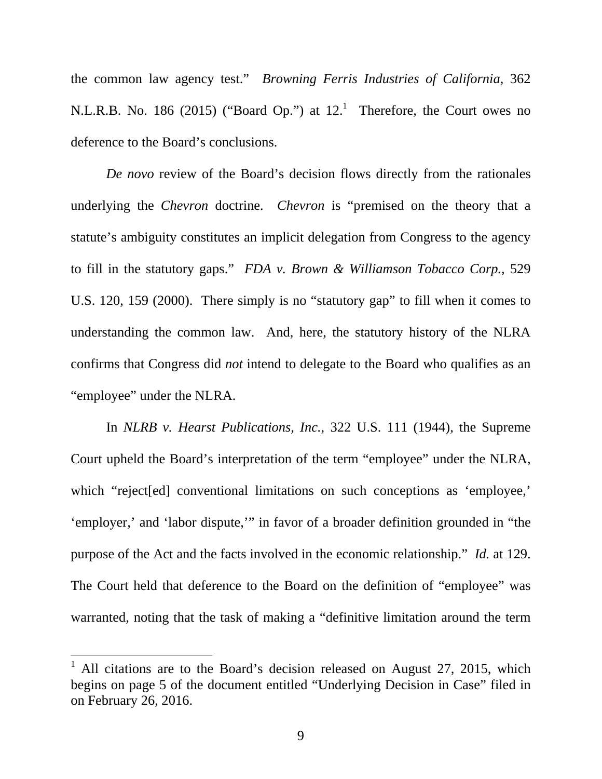the common law agency test." *Browning Ferris Industries of California*, 362 N.L.R.B. No. 186 (2015) ("Board Op.") at  $12<sup>1</sup>$  Therefore, the Court owes no deference to the Board's conclusions.

*De novo* review of the Board's decision flows directly from the rationales underlying the *Chevron* doctrine. *Chevron* is "premised on the theory that a statute's ambiguity constitutes an implicit delegation from Congress to the agency to fill in the statutory gaps." *FDA v. Brown & Williamson Tobacco Corp.*, 529 U.S. 120, 159 (2000). There simply is no "statutory gap" to fill when it comes to understanding the common law. And, here, the statutory history of the NLRA confirms that Congress did *not* intend to delegate to the Board who qualifies as an "employee" under the NLRA.

In *NLRB v. Hearst Publications, Inc.*, 322 U.S. 111 (1944), the Supreme Court upheld the Board's interpretation of the term "employee" under the NLRA, which "reject[ed] conventional limitations on such conceptions as 'employee,' 'employer,' and 'labor dispute,'" in favor of a broader definition grounded in "the purpose of the Act and the facts involved in the economic relationship." *Id.* at 129. The Court held that deference to the Board on the definition of "employee" was warranted, noting that the task of making a "definitive limitation around the term

 $\overline{a}$ 

<sup>1</sup> All citations are to the Board's decision released on August 27, 2015, which begins on page 5 of the document entitled "Underlying Decision in Case" filed in on February 26, 2016.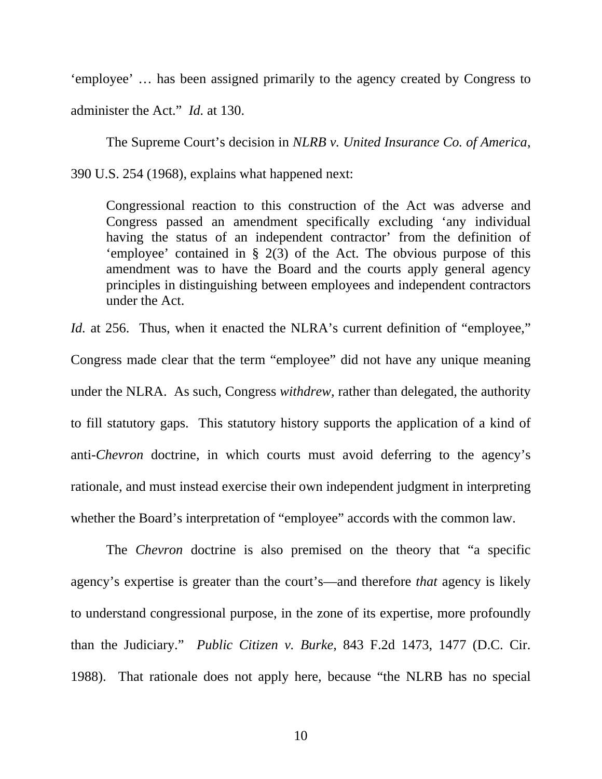'employee' … has been assigned primarily to the agency created by Congress to administer the Act." *Id.* at 130.

The Supreme Court's decision in *NLRB v. United Insurance Co. of America*, 390 U.S. 254 (1968), explains what happened next:

Congressional reaction to this construction of the Act was adverse and Congress passed an amendment specifically excluding 'any individual having the status of an independent contractor' from the definition of 'employee' contained in § 2(3) of the Act. The obvious purpose of this amendment was to have the Board and the courts apply general agency principles in distinguishing between employees and independent contractors under the Act.

*Id.* at 256. Thus, when it enacted the NLRA's current definition of "employee,"

Congress made clear that the term "employee" did not have any unique meaning under the NLRA. As such, Congress *withdrew*, rather than delegated, the authority to fill statutory gaps. This statutory history supports the application of a kind of anti-*Chevron* doctrine, in which courts must avoid deferring to the agency's rationale, and must instead exercise their own independent judgment in interpreting whether the Board's interpretation of "employee" accords with the common law.

 The *Chevron* doctrine is also premised on the theory that "a specific agency's expertise is greater than the court's—and therefore *that* agency is likely to understand congressional purpose, in the zone of its expertise, more profoundly than the Judiciary." *Public Citizen v. Burke*, 843 F.2d 1473, 1477 (D.C. Cir. 1988). That rationale does not apply here, because "the NLRB has no special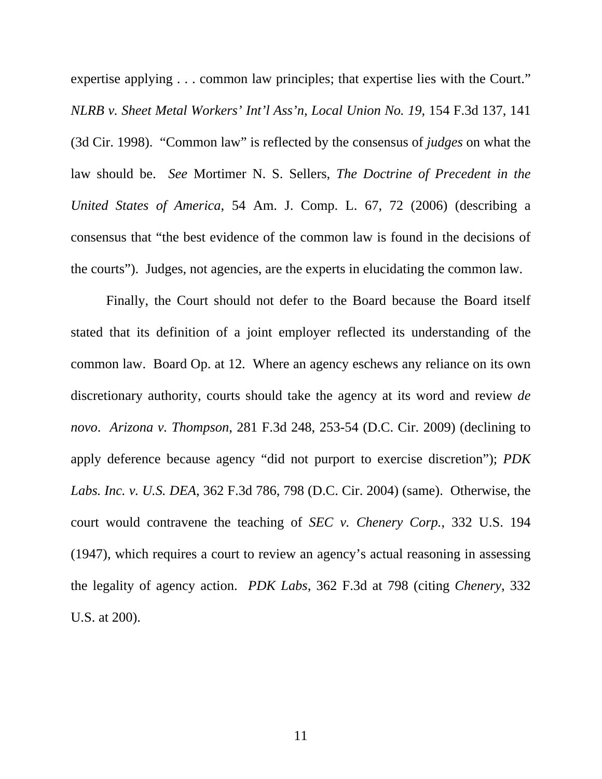expertise applying . . . common law principles; that expertise lies with the Court." *NLRB v. Sheet Metal Workers' Int'l Ass'n, Local Union No. 19*, 154 F.3d 137, 141 (3d Cir. 1998). "Common law" is reflected by the consensus of *judges* on what the law should be. *See* Mortimer N. S. Sellers, *The Doctrine of Precedent in the United States of America*, 54 Am. J. Comp. L. 67, 72 (2006) (describing a consensus that "the best evidence of the common law is found in the decisions of the courts"). Judges, not agencies, are the experts in elucidating the common law.

 Finally, the Court should not defer to the Board because the Board itself stated that its definition of a joint employer reflected its understanding of the common law. Board Op. at 12. Where an agency eschews any reliance on its own discretionary authority, courts should take the agency at its word and review *de novo*. *Arizona v. Thompson*, 281 F.3d 248, 253-54 (D.C. Cir. 2009) (declining to apply deference because agency "did not purport to exercise discretion"); *PDK Labs. Inc. v. U.S. DEA*, 362 F.3d 786, 798 (D.C. Cir. 2004) (same). Otherwise, the court would contravene the teaching of *SEC v. Chenery Corp.*, 332 U.S. 194 (1947), which requires a court to review an agency's actual reasoning in assessing the legality of agency action. *PDK Labs*, 362 F.3d at 798 (citing *Chenery*, 332 U.S. at 200).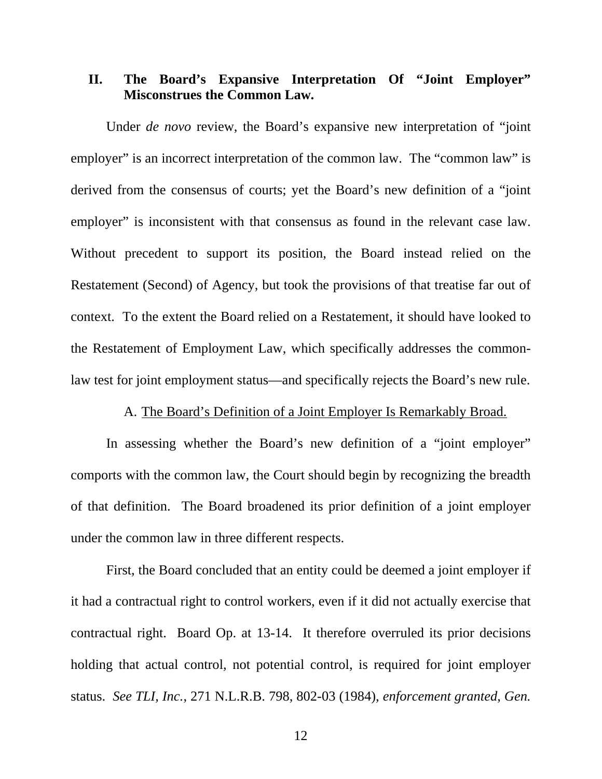### **II. The Board's Expansive Interpretation Of "Joint Employer" Misconstrues the Common Law.**

Under *de novo* review, the Board's expansive new interpretation of "joint employer" is an incorrect interpretation of the common law. The "common law" is derived from the consensus of courts; yet the Board's new definition of a "joint employer" is inconsistent with that consensus as found in the relevant case law. Without precedent to support its position, the Board instead relied on the Restatement (Second) of Agency, but took the provisions of that treatise far out of context. To the extent the Board relied on a Restatement, it should have looked to the Restatement of Employment Law, which specifically addresses the commonlaw test for joint employment status—and specifically rejects the Board's new rule.

#### A. The Board's Definition of a Joint Employer Is Remarkably Broad.

In assessing whether the Board's new definition of a "joint employer" comports with the common law, the Court should begin by recognizing the breadth of that definition. The Board broadened its prior definition of a joint employer under the common law in three different respects.

First, the Board concluded that an entity could be deemed a joint employer if it had a contractual right to control workers, even if it did not actually exercise that contractual right. Board Op. at 13-14. It therefore overruled its prior decisions holding that actual control, not potential control, is required for joint employer status. *See TLI, Inc.*, 271 N.L.R.B. 798, 802-03 (1984), *enforcement granted*, *Gen.* 

12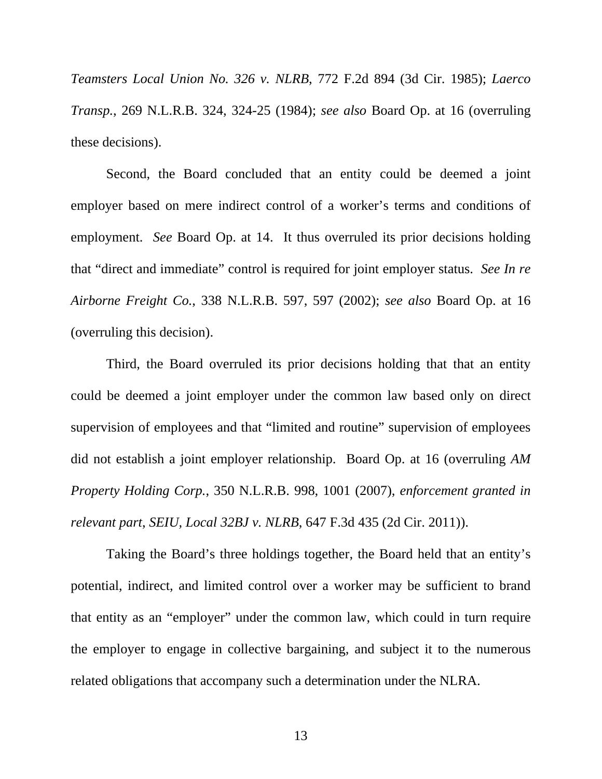*Teamsters Local Union No. 326 v. NLRB*, 772 F.2d 894 (3d Cir. 1985); *Laerco Transp.*, 269 N.L.R.B. 324, 324-25 (1984); *see also* Board Op. at 16 (overruling these decisions).

Second, the Board concluded that an entity could be deemed a joint employer based on mere indirect control of a worker's terms and conditions of employment. *See* Board Op. at 14. It thus overruled its prior decisions holding that "direct and immediate" control is required for joint employer status. *See In re Airborne Freight Co.*, 338 N.L.R.B. 597, 597 (2002); *see also* Board Op. at 16 (overruling this decision).

Third, the Board overruled its prior decisions holding that that an entity could be deemed a joint employer under the common law based only on direct supervision of employees and that "limited and routine" supervision of employees did not establish a joint employer relationship. Board Op. at 16 (overruling *AM Property Holding Corp.*, 350 N.L.R.B. 998, 1001 (2007), *enforcement granted in relevant part*, *SEIU, Local 32BJ v. NLRB*, 647 F.3d 435 (2d Cir. 2011)).

Taking the Board's three holdings together, the Board held that an entity's potential, indirect, and limited control over a worker may be sufficient to brand that entity as an "employer" under the common law, which could in turn require the employer to engage in collective bargaining, and subject it to the numerous related obligations that accompany such a determination under the NLRA.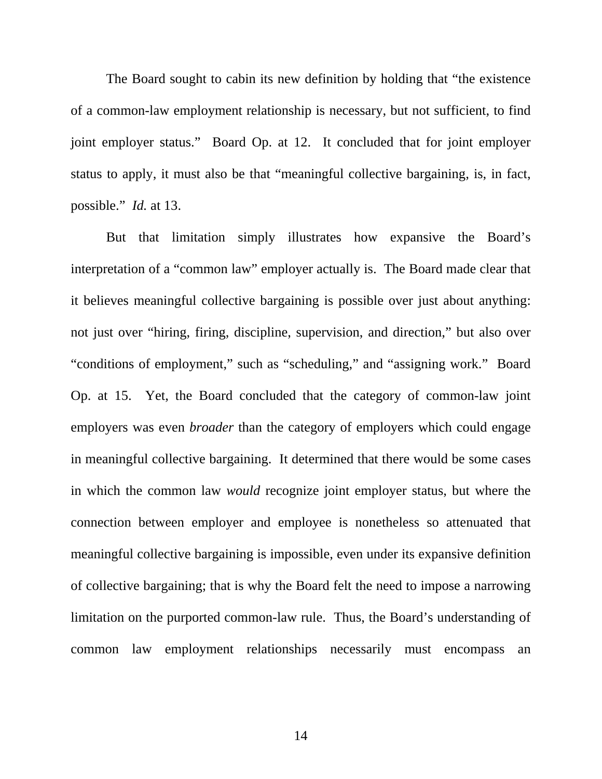The Board sought to cabin its new definition by holding that "the existence of a common-law employment relationship is necessary, but not sufficient, to find joint employer status." Board Op. at 12. It concluded that for joint employer status to apply, it must also be that "meaningful collective bargaining, is, in fact, possible." *Id.* at 13.

But that limitation simply illustrates how expansive the Board's interpretation of a "common law" employer actually is. The Board made clear that it believes meaningful collective bargaining is possible over just about anything: not just over "hiring, firing, discipline, supervision, and direction," but also over "conditions of employment," such as "scheduling," and "assigning work." Board Op. at 15. Yet, the Board concluded that the category of common-law joint employers was even *broader* than the category of employers which could engage in meaningful collective bargaining. It determined that there would be some cases in which the common law *would* recognize joint employer status, but where the connection between employer and employee is nonetheless so attenuated that meaningful collective bargaining is impossible, even under its expansive definition of collective bargaining; that is why the Board felt the need to impose a narrowing limitation on the purported common-law rule. Thus, the Board's understanding of common law employment relationships necessarily must encompass an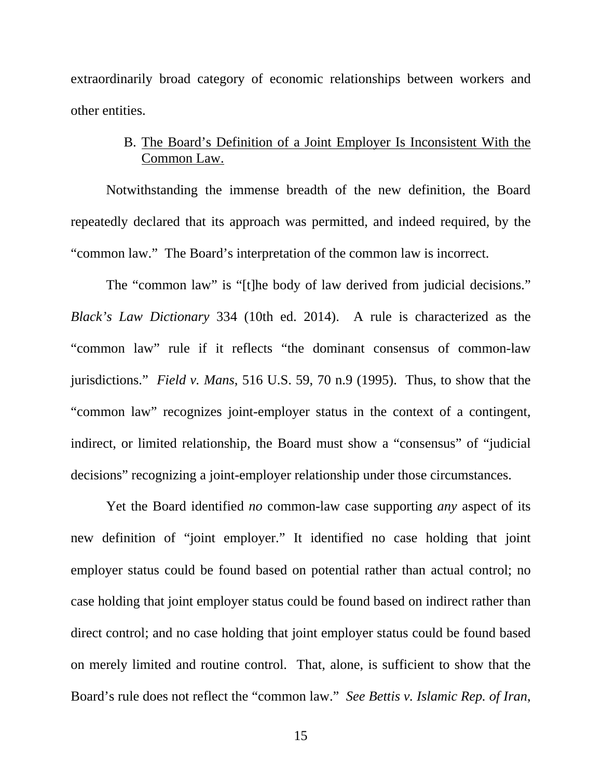extraordinarily broad category of economic relationships between workers and other entities.

### B. The Board's Definition of a Joint Employer Is Inconsistent With the Common Law.

Notwithstanding the immense breadth of the new definition, the Board repeatedly declared that its approach was permitted, and indeed required, by the "common law." The Board's interpretation of the common law is incorrect.

The "common law" is "[t]he body of law derived from judicial decisions." *Black's Law Dictionary* 334 (10th ed. 2014). A rule is characterized as the "common law" rule if it reflects "the dominant consensus of common-law jurisdictions." *Field v. Mans*, 516 U.S. 59, 70 n.9 (1995). Thus, to show that the "common law" recognizes joint-employer status in the context of a contingent, indirect, or limited relationship, the Board must show a "consensus" of "judicial decisions" recognizing a joint-employer relationship under those circumstances.

Yet the Board identified *no* common-law case supporting *any* aspect of its new definition of "joint employer." It identified no case holding that joint employer status could be found based on potential rather than actual control; no case holding that joint employer status could be found based on indirect rather than direct control; and no case holding that joint employer status could be found based on merely limited and routine control. That, alone, is sufficient to show that the Board's rule does not reflect the "common law." *See Bettis v. Islamic Rep. of Iran*,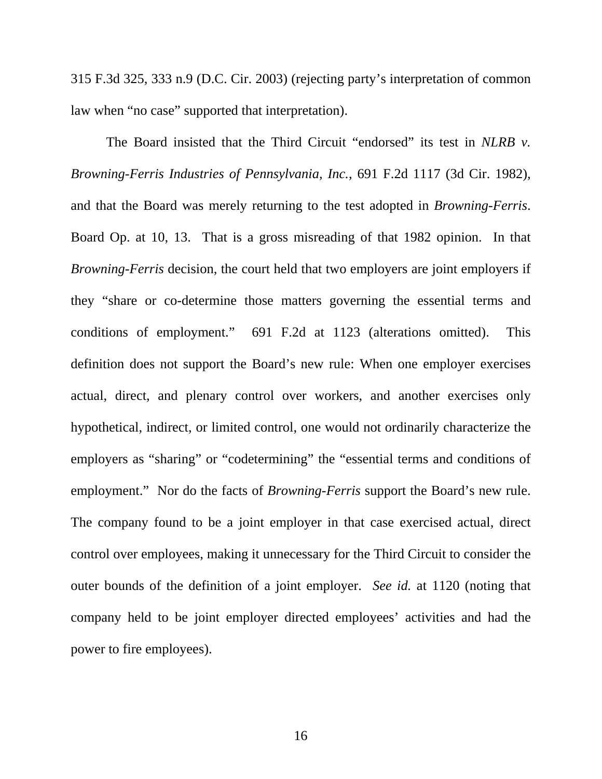315 F.3d 325, 333 n.9 (D.C. Cir. 2003) (rejecting party's interpretation of common law when "no case" supported that interpretation).

The Board insisted that the Third Circuit "endorsed" its test in *NLRB v. Browning-Ferris Industries of Pennsylvania, Inc.*, 691 F.2d 1117 (3d Cir. 1982), and that the Board was merely returning to the test adopted in *Browning-Ferris*. Board Op. at 10, 13. That is a gross misreading of that 1982 opinion. In that *Browning-Ferris* decision, the court held that two employers are joint employers if they "share or co-determine those matters governing the essential terms and conditions of employment." 691 F.2d at 1123 (alterations omitted). This definition does not support the Board's new rule: When one employer exercises actual, direct, and plenary control over workers, and another exercises only hypothetical, indirect, or limited control, one would not ordinarily characterize the employers as "sharing" or "codetermining" the "essential terms and conditions of employment." Nor do the facts of *Browning-Ferris* support the Board's new rule. The company found to be a joint employer in that case exercised actual, direct control over employees, making it unnecessary for the Third Circuit to consider the outer bounds of the definition of a joint employer. *See id.* at 1120 (noting that company held to be joint employer directed employees' activities and had the power to fire employees).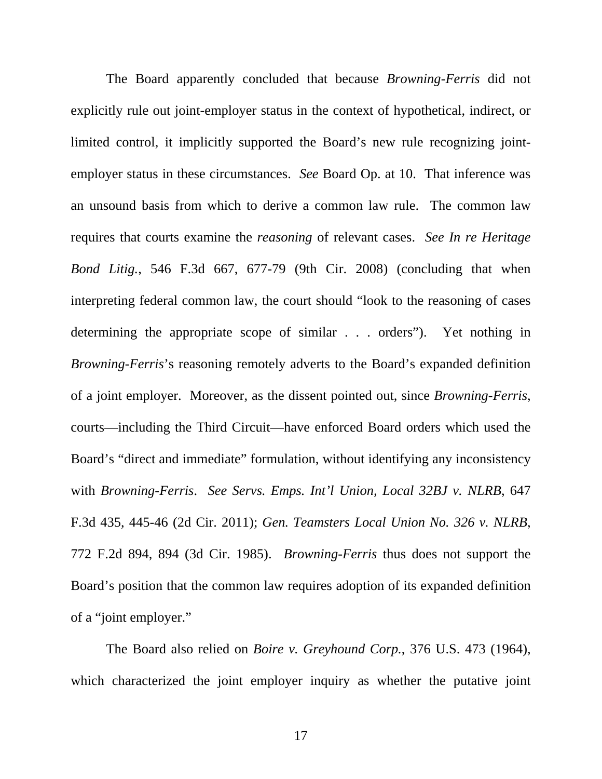The Board apparently concluded that because *Browning-Ferris* did not explicitly rule out joint-employer status in the context of hypothetical, indirect, or limited control, it implicitly supported the Board's new rule recognizing jointemployer status in these circumstances. *See* Board Op. at 10. That inference was an unsound basis from which to derive a common law rule. The common law requires that courts examine the *reasoning* of relevant cases. *See In re Heritage Bond Litig.*, 546 F.3d 667, 677-79 (9th Cir. 2008) (concluding that when interpreting federal common law, the court should "look to the reasoning of cases determining the appropriate scope of similar . . . orders"). Yet nothing in *Browning-Ferris*'s reasoning remotely adverts to the Board's expanded definition of a joint employer. Moreover, as the dissent pointed out, since *Browning-Ferris*, courts—including the Third Circuit—have enforced Board orders which used the Board's "direct and immediate" formulation, without identifying any inconsistency with *Browning-Ferris*. *See Servs. Emps. Int'l Union, Local 32BJ v. NLRB*, 647 F.3d 435, 445-46 (2d Cir. 2011); *Gen. Teamsters Local Union No. 326 v. NLRB*, 772 F.2d 894, 894 (3d Cir. 1985). *Browning-Ferris* thus does not support the Board's position that the common law requires adoption of its expanded definition of a "joint employer."

The Board also relied on *Boire v. Greyhound Corp.*, 376 U.S. 473 (1964), which characterized the joint employer inquiry as whether the putative joint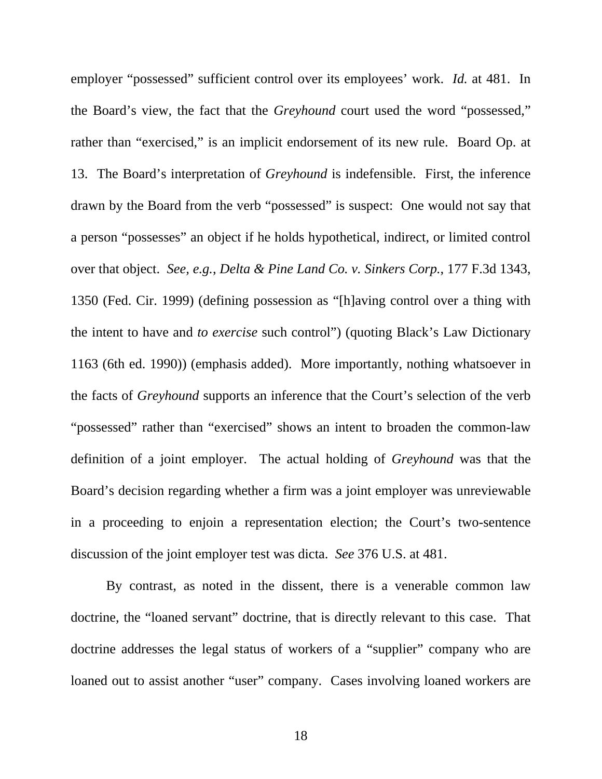employer "possessed" sufficient control over its employees' work. *Id.* at 481. In the Board's view, the fact that the *Greyhound* court used the word "possessed," rather than "exercised," is an implicit endorsement of its new rule. Board Op. at 13. The Board's interpretation of *Greyhound* is indefensible. First, the inference drawn by the Board from the verb "possessed" is suspect: One would not say that a person "possesses" an object if he holds hypothetical, indirect, or limited control over that object. *See, e.g.*, *Delta & Pine Land Co. v. Sinkers Corp.*, 177 F.3d 1343, 1350 (Fed. Cir. 1999) (defining possession as "[h]aving control over a thing with the intent to have and *to exercise* such control") (quoting Black's Law Dictionary 1163 (6th ed. 1990)) (emphasis added). More importantly, nothing whatsoever in the facts of *Greyhound* supports an inference that the Court's selection of the verb "possessed" rather than "exercised" shows an intent to broaden the common-law definition of a joint employer. The actual holding of *Greyhound* was that the Board's decision regarding whether a firm was a joint employer was unreviewable in a proceeding to enjoin a representation election; the Court's two-sentence discussion of the joint employer test was dicta. *See* 376 U.S. at 481.

By contrast, as noted in the dissent, there is a venerable common law doctrine, the "loaned servant" doctrine, that is directly relevant to this case. That doctrine addresses the legal status of workers of a "supplier" company who are loaned out to assist another "user" company. Cases involving loaned workers are

18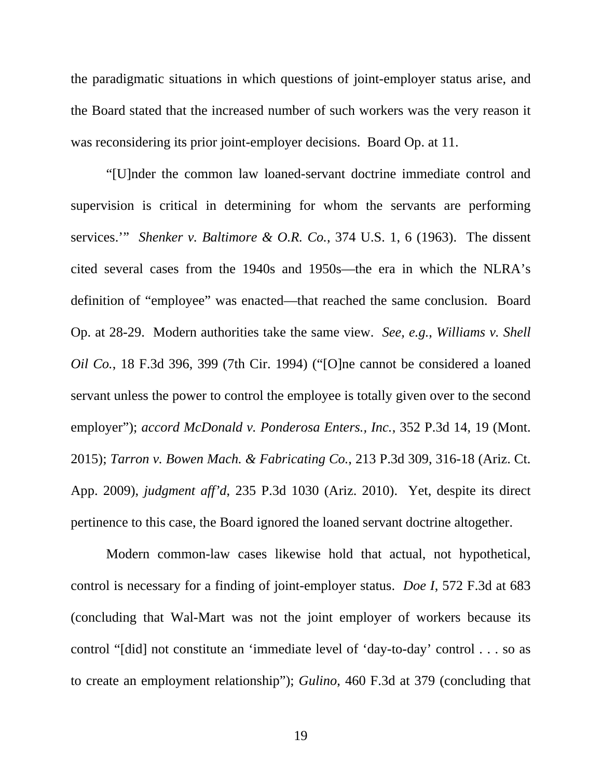the paradigmatic situations in which questions of joint-employer status arise, and the Board stated that the increased number of such workers was the very reason it was reconsidering its prior joint-employer decisions. Board Op. at 11.

"[U]nder the common law loaned-servant doctrine immediate control and supervision is critical in determining for whom the servants are performing services.'" *Shenker v. Baltimore & O.R. Co.*, 374 U.S. 1, 6 (1963). The dissent cited several cases from the 1940s and 1950s—the era in which the NLRA's definition of "employee" was enacted—that reached the same conclusion. Board Op. at 28-29. Modern authorities take the same view. *See, e.g.*, *Williams v. Shell Oil Co.*, 18 F.3d 396, 399 (7th Cir. 1994) ("[O]ne cannot be considered a loaned servant unless the power to control the employee is totally given over to the second employer"); *accord McDonald v. Ponderosa Enters., Inc.*, 352 P.3d 14, 19 (Mont. 2015); *Tarron v. Bowen Mach. & Fabricating Co.*, 213 P.3d 309, 316-18 (Ariz. Ct. App. 2009), *judgment aff'd*, 235 P.3d 1030 (Ariz. 2010). Yet, despite its direct pertinence to this case, the Board ignored the loaned servant doctrine altogether.

Modern common-law cases likewise hold that actual, not hypothetical, control is necessary for a finding of joint-employer status. *Doe I*, 572 F.3d at 683 (concluding that Wal-Mart was not the joint employer of workers because its control "[did] not constitute an 'immediate level of 'day-to-day' control . . . so as to create an employment relationship"); *Gulino*, 460 F.3d at 379 (concluding that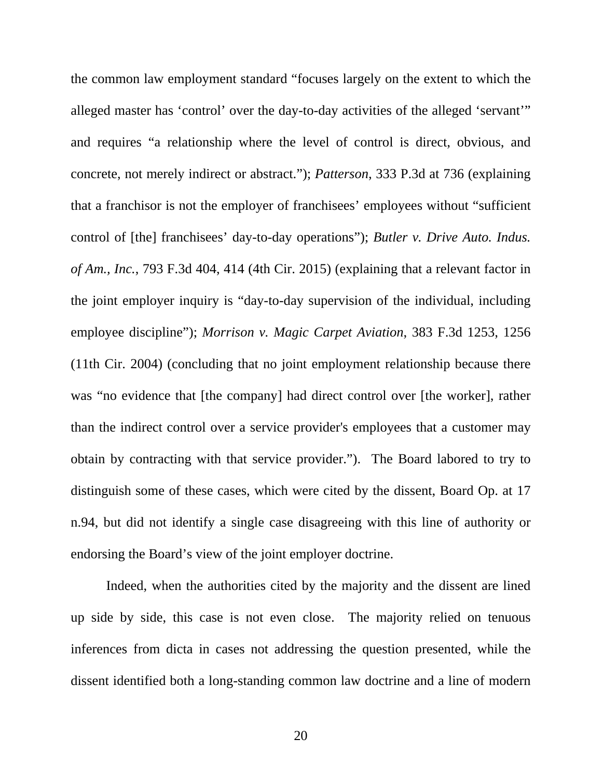the common law employment standard "focuses largely on the extent to which the alleged master has 'control' over the day-to-day activities of the alleged 'servant'" and requires "a relationship where the level of control is direct, obvious, and concrete, not merely indirect or abstract."); *Patterson*, 333 P.3d at 736 (explaining that a franchisor is not the employer of franchisees' employees without "sufficient control of [the] franchisees' day-to-day operations"); *Butler v. Drive Auto. Indus. of Am., Inc.*, 793 F.3d 404, 414 (4th Cir. 2015) (explaining that a relevant factor in the joint employer inquiry is "day-to-day supervision of the individual, including employee discipline"); *Morrison v. Magic Carpet Aviation*, 383 F.3d 1253, 1256 (11th Cir. 2004) (concluding that no joint employment relationship because there was "no evidence that [the company] had direct control over [the worker], rather than the indirect control over a service provider's employees that a customer may obtain by contracting with that service provider."). The Board labored to try to distinguish some of these cases, which were cited by the dissent, Board Op. at 17 n.94, but did not identify a single case disagreeing with this line of authority or endorsing the Board's view of the joint employer doctrine.

Indeed, when the authorities cited by the majority and the dissent are lined up side by side, this case is not even close. The majority relied on tenuous inferences from dicta in cases not addressing the question presented, while the dissent identified both a long-standing common law doctrine and a line of modern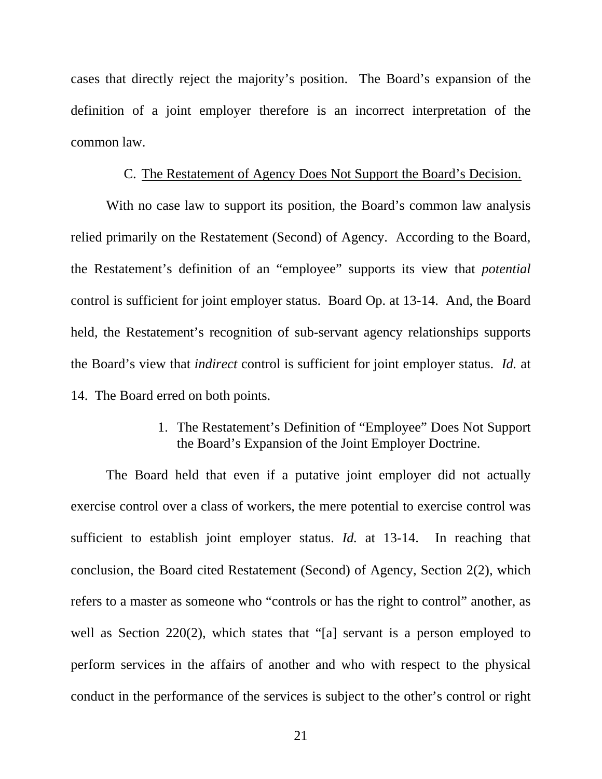cases that directly reject the majority's position. The Board's expansion of the definition of a joint employer therefore is an incorrect interpretation of the common law.

#### C. The Restatement of Agency Does Not Support the Board's Decision.

With no case law to support its position, the Board's common law analysis relied primarily on the Restatement (Second) of Agency. According to the Board, the Restatement's definition of an "employee" supports its view that *potential* control is sufficient for joint employer status. Board Op. at 13-14. And, the Board held, the Restatement's recognition of sub-servant agency relationships supports the Board's view that *indirect* control is sufficient for joint employer status. *Id.* at 14. The Board erred on both points.

> 1. The Restatement's Definition of "Employee" Does Not Support the Board's Expansion of the Joint Employer Doctrine.

The Board held that even if a putative joint employer did not actually exercise control over a class of workers, the mere potential to exercise control was sufficient to establish joint employer status. *Id.* at 13-14. In reaching that conclusion, the Board cited Restatement (Second) of Agency, Section 2(2), which refers to a master as someone who "controls or has the right to control" another, as well as Section 220(2), which states that "[a] servant is a person employed to perform services in the affairs of another and who with respect to the physical conduct in the performance of the services is subject to the other's control or right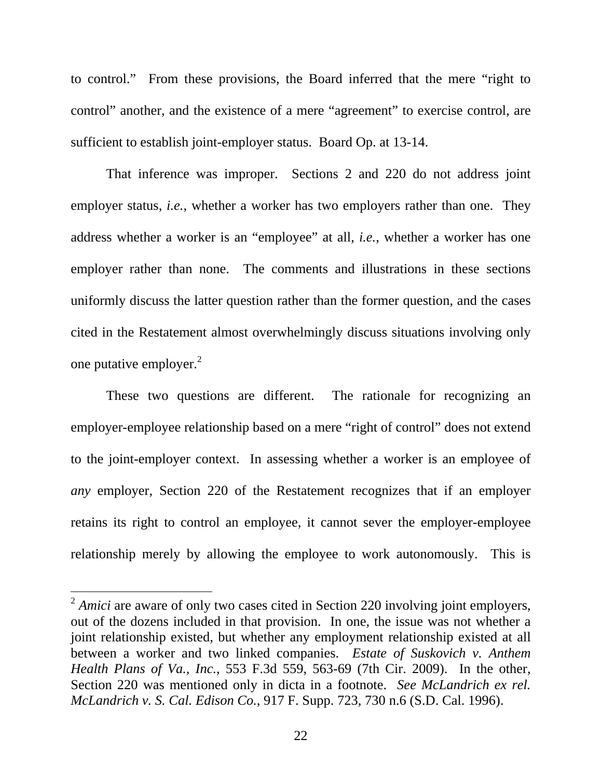to control." From these provisions, the Board inferred that the mere "right to control" another, and the existence of a mere "agreement" to exercise control, are sufficient to establish joint-employer status. Board Op. at 13-14.

That inference was improper. Sections 2 and 220 do not address joint employer status, *i.e.*, whether a worker has two employers rather than one. They address whether a worker is an "employee" at all, *i.e.*, whether a worker has one employer rather than none. The comments and illustrations in these sections uniformly discuss the latter question rather than the former question, and the cases cited in the Restatement almost overwhelmingly discuss situations involving only one putative employer. $^{2}$ 

These two questions are different. The rationale for recognizing an employer-employee relationship based on a mere "right of control" does not extend to the joint-employer context. In assessing whether a worker is an employee of *any* employer, Section 220 of the Restatement recognizes that if an employer retains its right to control an employee, it cannot sever the employer-employee relationship merely by allowing the employee to work autonomously. This is

 $\overline{a}$ 

<sup>&</sup>lt;sup>2</sup> *Amici* are aware of only two cases cited in Section 220 involving joint employers, out of the dozens included in that provision. In one, the issue was not whether a joint relationship existed, but whether any employment relationship existed at all between a worker and two linked companies. *Estate of Suskovich v. Anthem Health Plans of Va., Inc.*, 553 F.3d 559, 563-69 (7th Cir. 2009). In the other, Section 220 was mentioned only in dicta in a footnote. *See McLandrich ex rel. McLandrich v. S. Cal. Edison Co.*, 917 F. Supp. 723, 730 n.6 (S.D. Cal. 1996).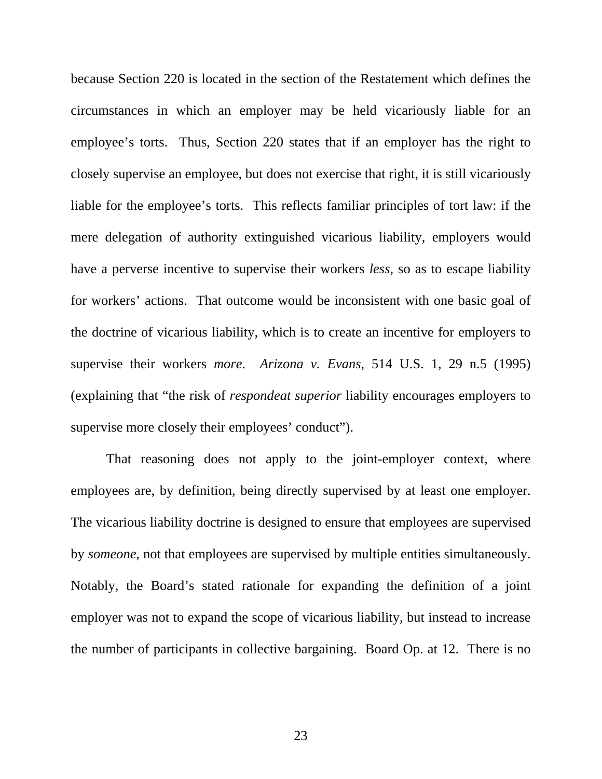because Section 220 is located in the section of the Restatement which defines the circumstances in which an employer may be held vicariously liable for an employee's torts. Thus, Section 220 states that if an employer has the right to closely supervise an employee, but does not exercise that right, it is still vicariously liable for the employee's torts. This reflects familiar principles of tort law: if the mere delegation of authority extinguished vicarious liability, employers would have a perverse incentive to supervise their workers *less*, so as to escape liability for workers' actions. That outcome would be inconsistent with one basic goal of the doctrine of vicarious liability, which is to create an incentive for employers to supervise their workers *more*. *Arizona v. Evans*, 514 U.S. 1, 29 n.5 (1995) (explaining that "the risk of *respondeat superior* liability encourages employers to supervise more closely their employees' conduct").

That reasoning does not apply to the joint-employer context, where employees are, by definition, being directly supervised by at least one employer. The vicarious liability doctrine is designed to ensure that employees are supervised by *someone*, not that employees are supervised by multiple entities simultaneously. Notably, the Board's stated rationale for expanding the definition of a joint employer was not to expand the scope of vicarious liability, but instead to increase the number of participants in collective bargaining. Board Op. at 12. There is no

23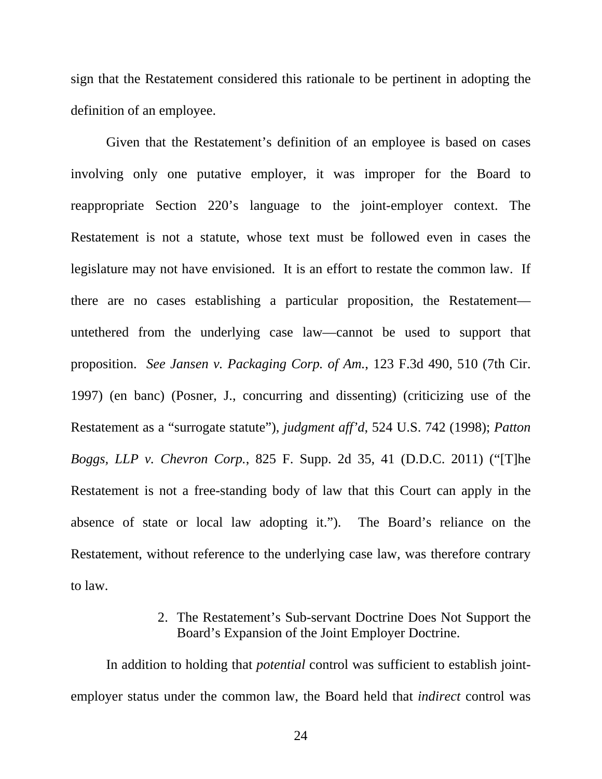sign that the Restatement considered this rationale to be pertinent in adopting the definition of an employee.

Given that the Restatement's definition of an employee is based on cases involving only one putative employer, it was improper for the Board to reappropriate Section 220's language to the joint-employer context. The Restatement is not a statute, whose text must be followed even in cases the legislature may not have envisioned. It is an effort to restate the common law. If there are no cases establishing a particular proposition, the Restatement untethered from the underlying case law—cannot be used to support that proposition. *See Jansen v. Packaging Corp. of Am.*, 123 F.3d 490, 510 (7th Cir. 1997) (en banc) (Posner, J., concurring and dissenting) (criticizing use of the Restatement as a "surrogate statute"), *judgment aff'd*, 524 U.S. 742 (1998); *Patton Boggs, LLP v. Chevron Corp.*, 825 F. Supp. 2d 35, 41 (D.D.C. 2011) ("[T]he Restatement is not a free-standing body of law that this Court can apply in the absence of state or local law adopting it."). The Board's reliance on the Restatement, without reference to the underlying case law, was therefore contrary to law.

#### 2. The Restatement's Sub-servant Doctrine Does Not Support the Board's Expansion of the Joint Employer Doctrine.

In addition to holding that *potential* control was sufficient to establish jointemployer status under the common law, the Board held that *indirect* control was

24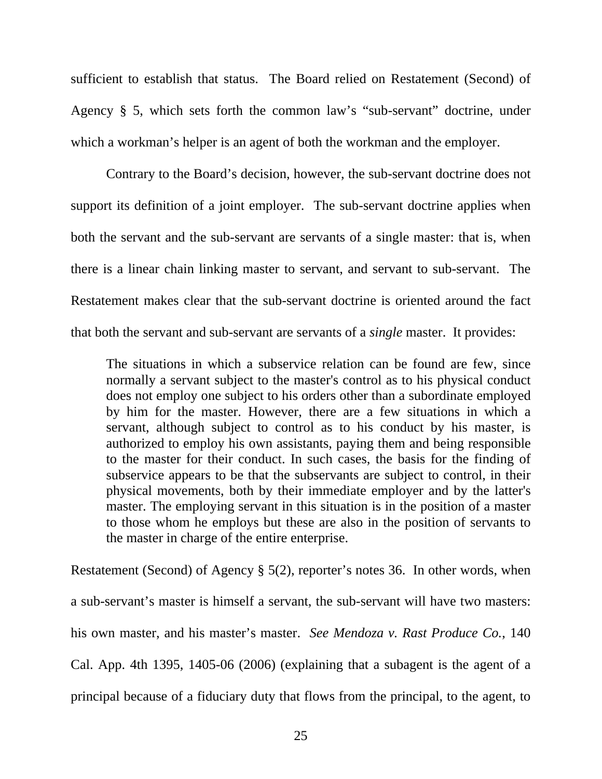sufficient to establish that status. The Board relied on Restatement (Second) of Agency § 5, which sets forth the common law's "sub-servant" doctrine, under which a workman's helper is an agent of both the workman and the employer.

Contrary to the Board's decision, however, the sub-servant doctrine does not support its definition of a joint employer. The sub-servant doctrine applies when both the servant and the sub-servant are servants of a single master: that is, when there is a linear chain linking master to servant, and servant to sub-servant. The Restatement makes clear that the sub-servant doctrine is oriented around the fact that both the servant and sub-servant are servants of a *single* master. It provides:

The situations in which a subservice relation can be found are few, since normally a servant subject to the master's control as to his physical conduct does not employ one subject to his orders other than a subordinate employed by him for the master. However, there are a few situations in which a servant, although subject to control as to his conduct by his master, is authorized to employ his own assistants, paying them and being responsible to the master for their conduct. In such cases, the basis for the finding of subservice appears to be that the subservants are subject to control, in their physical movements, both by their immediate employer and by the latter's master. The employing servant in this situation is in the position of a master to those whom he employs but these are also in the position of servants to the master in charge of the entire enterprise.

Restatement (Second) of Agency § 5(2), reporter's notes 36. In other words, when a sub-servant's master is himself a servant, the sub-servant will have two masters: his own master, and his master's master. *See Mendoza v. Rast Produce Co.*, 140 Cal. App. 4th 1395, 1405-06 (2006) (explaining that a subagent is the agent of a principal because of a fiduciary duty that flows from the principal, to the agent, to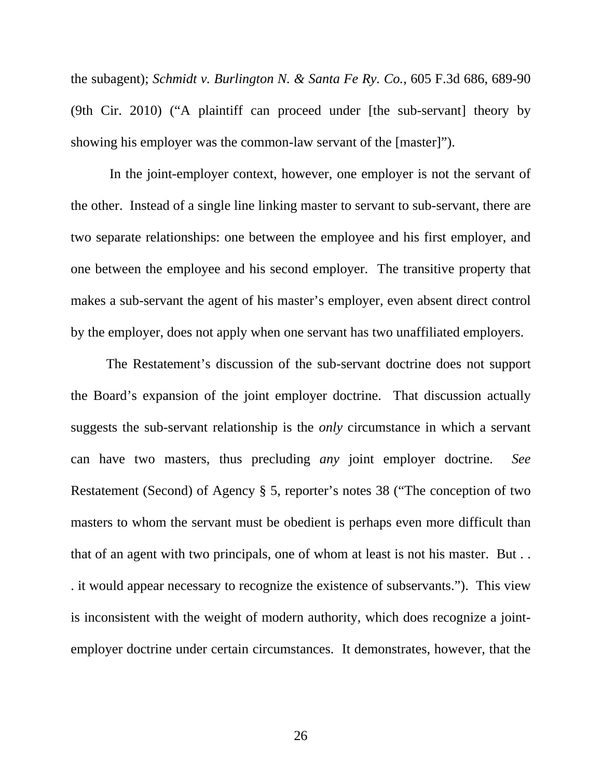the subagent); *Schmidt v. Burlington N. & Santa Fe Ry. Co.*, 605 F.3d 686, 689-90 (9th Cir. 2010) ("A plaintiff can proceed under [the sub-servant] theory by showing his employer was the common-law servant of the [master]").

 In the joint-employer context, however, one employer is not the servant of the other. Instead of a single line linking master to servant to sub-servant, there are two separate relationships: one between the employee and his first employer, and one between the employee and his second employer. The transitive property that makes a sub-servant the agent of his master's employer, even absent direct control by the employer, does not apply when one servant has two unaffiliated employers.

The Restatement's discussion of the sub-servant doctrine does not support the Board's expansion of the joint employer doctrine. That discussion actually suggests the sub-servant relationship is the *only* circumstance in which a servant can have two masters, thus precluding *any* joint employer doctrine. *See*  Restatement (Second) of Agency § 5, reporter's notes 38 ("The conception of two masters to whom the servant must be obedient is perhaps even more difficult than that of an agent with two principals, one of whom at least is not his master. But . . . it would appear necessary to recognize the existence of subservants."). This view is inconsistent with the weight of modern authority, which does recognize a jointemployer doctrine under certain circumstances. It demonstrates, however, that the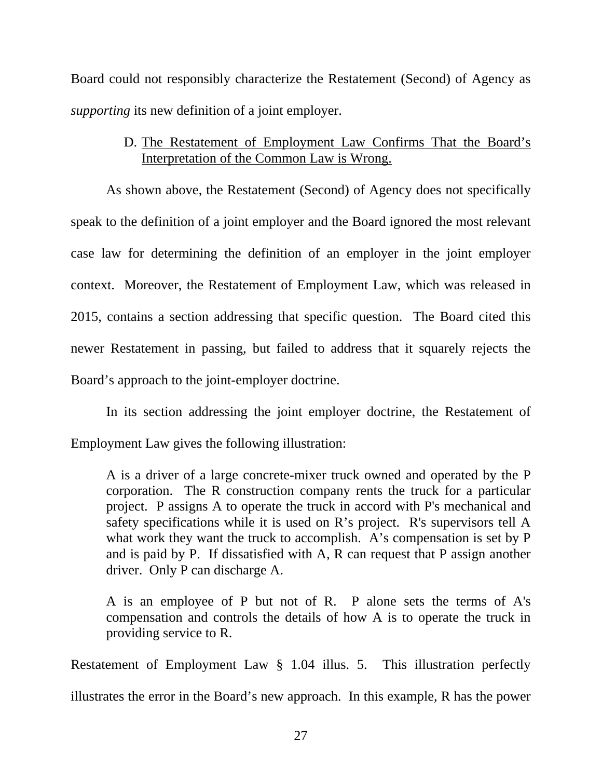Board could not responsibly characterize the Restatement (Second) of Agency as *supporting* its new definition of a joint employer.

### D. The Restatement of Employment Law Confirms That the Board's Interpretation of the Common Law is Wrong.

As shown above, the Restatement (Second) of Agency does not specifically speak to the definition of a joint employer and the Board ignored the most relevant case law for determining the definition of an employer in the joint employer context. Moreover, the Restatement of Employment Law, which was released in 2015, contains a section addressing that specific question. The Board cited this newer Restatement in passing, but failed to address that it squarely rejects the Board's approach to the joint-employer doctrine.

In its section addressing the joint employer doctrine, the Restatement of Employment Law gives the following illustration:

A is a driver of a large concrete-mixer truck owned and operated by the P corporation. The R construction company rents the truck for a particular project. P assigns A to operate the truck in accord with P's mechanical and safety specifications while it is used on R's project. R's supervisors tell A what work they want the truck to accomplish. A's compensation is set by P and is paid by P. If dissatisfied with A, R can request that P assign another driver. Only P can discharge A.

A is an employee of P but not of R. P alone sets the terms of A's compensation and controls the details of how A is to operate the truck in providing service to R.

Restatement of Employment Law § 1.04 illus. 5. This illustration perfectly illustrates the error in the Board's new approach. In this example, R has the power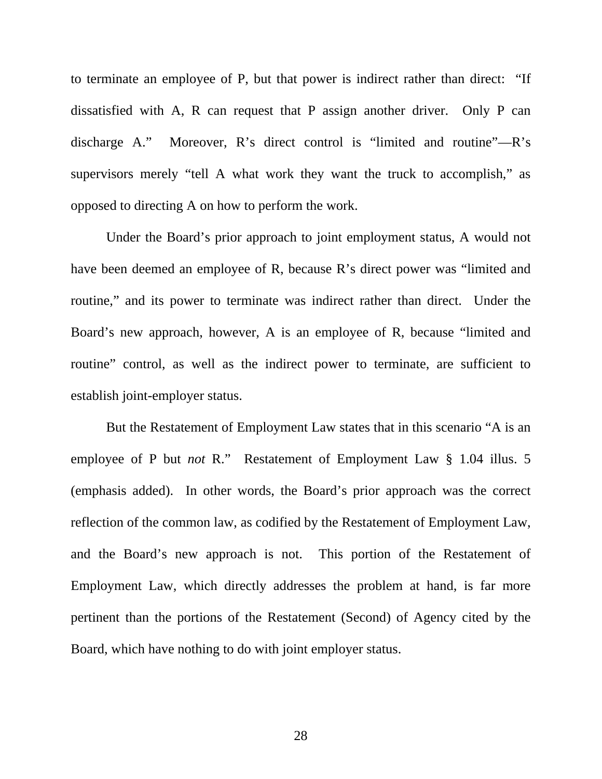to terminate an employee of P, but that power is indirect rather than direct: "If dissatisfied with A, R can request that P assign another driver. Only P can discharge A." Moreover, R's direct control is "limited and routine"—R's supervisors merely "tell A what work they want the truck to accomplish," as opposed to directing A on how to perform the work.

Under the Board's prior approach to joint employment status, A would not have been deemed an employee of R, because R's direct power was "limited and routine," and its power to terminate was indirect rather than direct. Under the Board's new approach, however, A is an employee of R, because "limited and routine" control, as well as the indirect power to terminate, are sufficient to establish joint-employer status.

But the Restatement of Employment Law states that in this scenario "A is an employee of P but *not* R." Restatement of Employment Law § 1.04 illus. 5 (emphasis added). In other words, the Board's prior approach was the correct reflection of the common law, as codified by the Restatement of Employment Law, and the Board's new approach is not. This portion of the Restatement of Employment Law, which directly addresses the problem at hand, is far more pertinent than the portions of the Restatement (Second) of Agency cited by the Board, which have nothing to do with joint employer status.

28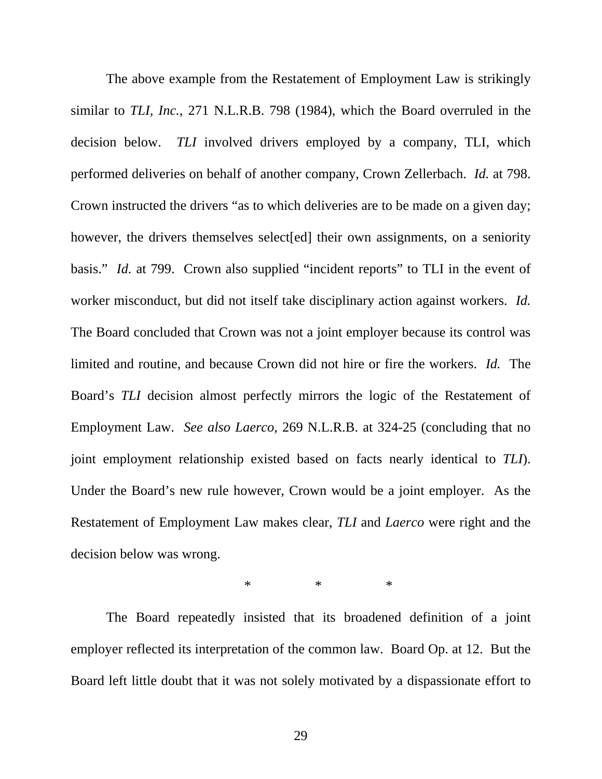The above example from the Restatement of Employment Law is strikingly similar to *TLI, Inc.*, 271 N.L.R.B. 798 (1984), which the Board overruled in the decision below. *TLI* involved drivers employed by a company, TLI, which performed deliveries on behalf of another company, Crown Zellerbach. *Id.* at 798. Crown instructed the drivers "as to which deliveries are to be made on a given day; however, the drivers themselves select [ed] their own assignments, on a seniority basis." *Id.* at 799. Crown also supplied "incident reports" to TLI in the event of worker misconduct, but did not itself take disciplinary action against workers. *Id.* The Board concluded that Crown was not a joint employer because its control was limited and routine, and because Crown did not hire or fire the workers. *Id.* The Board's *TLI* decision almost perfectly mirrors the logic of the Restatement of Employment Law. *See also Laerco*, 269 N.L.R.B. at 324-25 (concluding that no joint employment relationship existed based on facts nearly identical to *TLI*). Under the Board's new rule however, Crown would be a joint employer. As the Restatement of Employment Law makes clear, *TLI* and *Laerco* were right and the decision below was wrong.

 $*$  \* \* \*

The Board repeatedly insisted that its broadened definition of a joint employer reflected its interpretation of the common law. Board Op. at 12. But the Board left little doubt that it was not solely motivated by a dispassionate effort to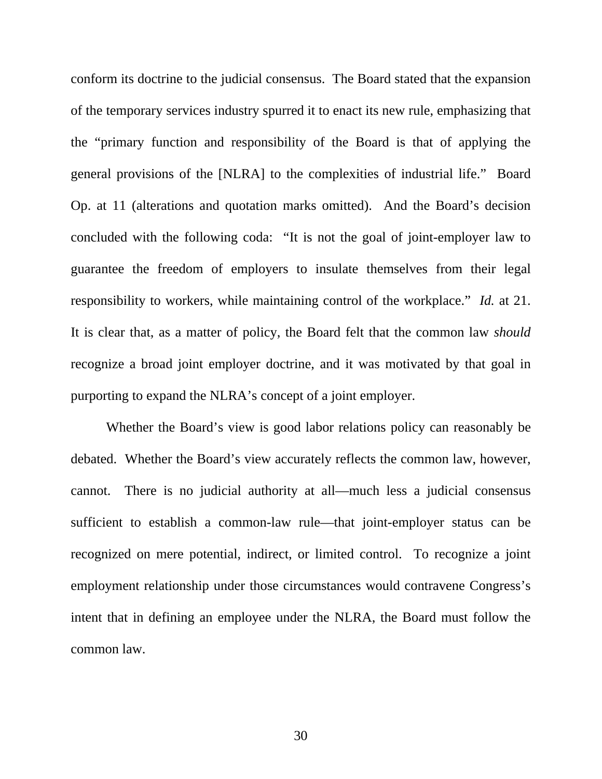conform its doctrine to the judicial consensus. The Board stated that the expansion of the temporary services industry spurred it to enact its new rule, emphasizing that the "primary function and responsibility of the Board is that of applying the general provisions of the [NLRA] to the complexities of industrial life." Board Op. at 11 (alterations and quotation marks omitted). And the Board's decision concluded with the following coda: "It is not the goal of joint-employer law to guarantee the freedom of employers to insulate themselves from their legal responsibility to workers, while maintaining control of the workplace." *Id.* at 21. It is clear that, as a matter of policy, the Board felt that the common law *should*  recognize a broad joint employer doctrine, and it was motivated by that goal in purporting to expand the NLRA's concept of a joint employer.

Whether the Board's view is good labor relations policy can reasonably be debated. Whether the Board's view accurately reflects the common law, however, cannot. There is no judicial authority at all—much less a judicial consensus sufficient to establish a common-law rule—that joint-employer status can be recognized on mere potential, indirect, or limited control. To recognize a joint employment relationship under those circumstances would contravene Congress's intent that in defining an employee under the NLRA, the Board must follow the common law.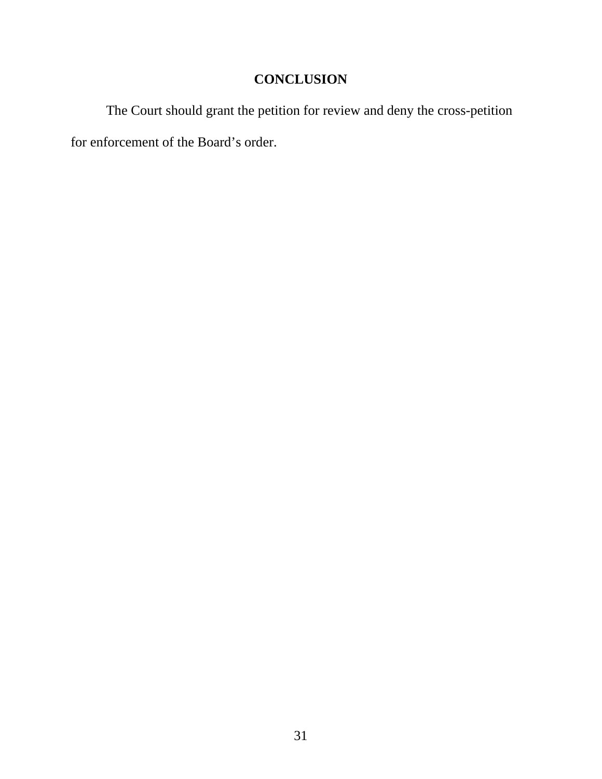# **CONCLUSION**

The Court should grant the petition for review and deny the cross-petition for enforcement of the Board's order.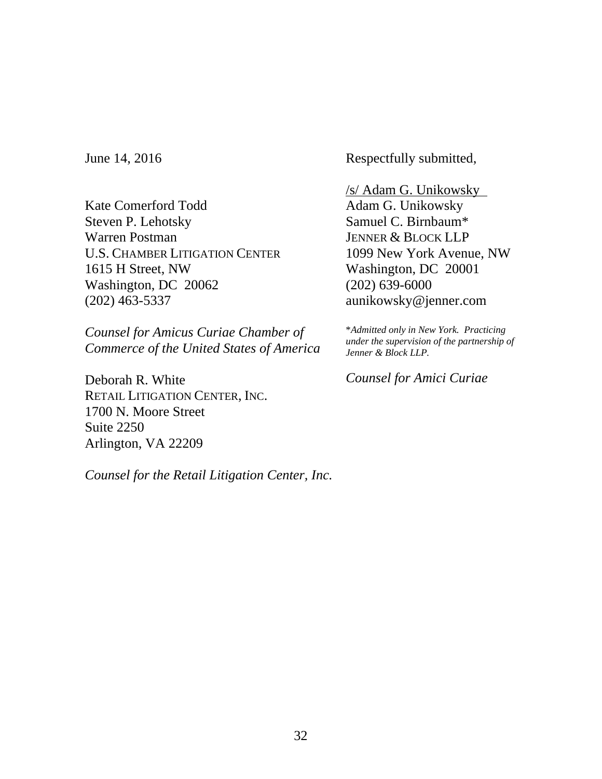June 14, 2016

Kate Comerford Todd Steven P. Lehotsky Warren Postman U.S. CHAMBER LITIGATION CENTER 1615 H Street, NW Washington, DC 20062 (202) 463-5337

*Counsel for Amicus Curiae Chamber of Commerce of the United States of America* 

Deborah R. White RETAIL LITIGATION CENTER, INC. 1700 N. Moore Street Suite 2250 Arlington, VA 22209

*Counsel for the Retail Litigation Center, Inc.*

Respectfully submitted,

/s/ Adam G. Unikowsky Adam G. Unikowsky Samuel C. Birnbaum\* JENNER & BLOCK LLP 1099 New York Avenue, NW Washington, DC 20001 (202) 639-6000 aunikowsky@jenner.com

\**Admitted only in New York. Practicing under the supervision of the partnership of Jenner & Block LLP.* 

*Counsel for Amici Curiae*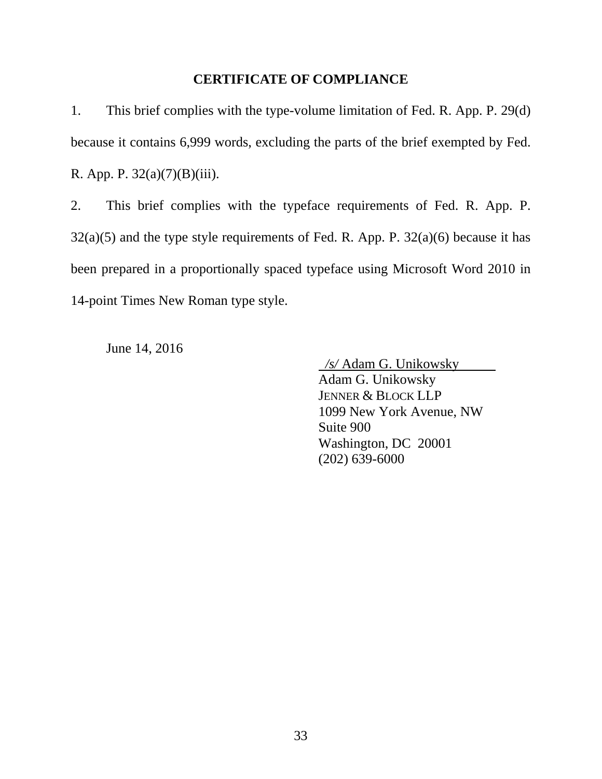#### **CERTIFICATE OF COMPLIANCE**

1. This brief complies with the type-volume limitation of Fed. R. App. P. 29(d) because it contains 6,999 words, excluding the parts of the brief exempted by Fed. R. App. P. 32(a)(7)(B)(iii).

2. This brief complies with the typeface requirements of Fed. R. App. P.  $32(a)(5)$  and the type style requirements of Fed. R. App. P.  $32(a)(6)$  because it has been prepared in a proportionally spaced typeface using Microsoft Word 2010 in 14-point Times New Roman type style.

June 14, 2016

 */s/* Adam G. Unikowsky Adam G. Unikowsky JENNER & BLOCK LLP 1099 New York Avenue, NW Suite 900 Washington, DC 20001 (202) 639-6000